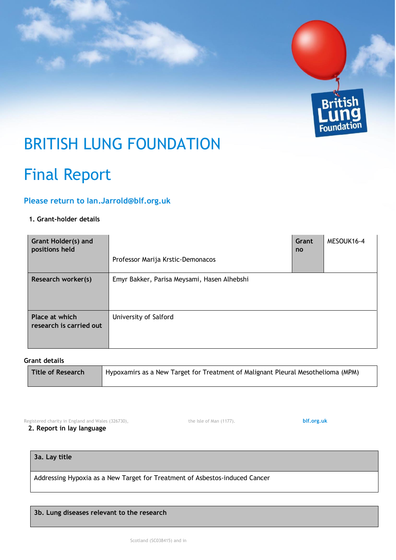

# BRITISH LUNG FOUNDATION

## Final Report

### **Please return to Ian.Jarrold@blf.org.uk**

#### **1. Grant-holder details**

| <b>Grant Holder(s) and</b><br>positions held |                                             | Grant<br>no | MESOUK16-4 |
|----------------------------------------------|---------------------------------------------|-------------|------------|
|                                              | Professor Marija Krstic-Demonacos           |             |            |
| Research worker(s)                           | Emyr Bakker, Parisa Meysami, Hasen Alhebshi |             |            |
| Place at which<br>research is carried out    | University of Salford                       |             |            |

#### **Grant details**

| Title of Research | Hypoxamirs as a New Target for Treatment of Malignant Pleural Mesothelioma (MPM) |
|-------------------|----------------------------------------------------------------------------------|
|                   |                                                                                  |

Registered charity in England and Wales (326730), the Isle of Man (1177).**[blf.org.uk](file://///blf-ho-dc1/common$/BLF%20Brand/Templates/www.blf.org.uk)**

**2. Report in lay language** 

**3a. Lay title** 

Addressing Hypoxia as a New Target for Treatment of Asbestos-induced Cancer

#### **3b. Lung diseases relevant to the research**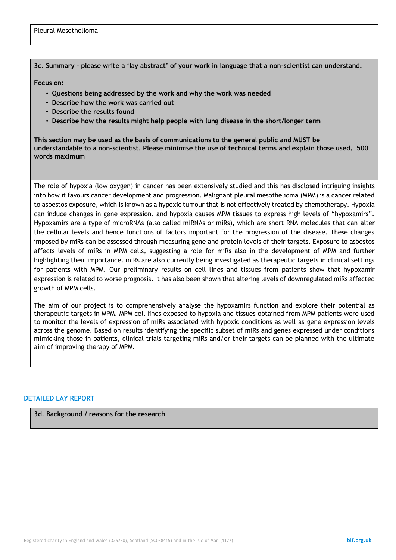#### **3c. Summary – please write a 'lay abstract' of your work in language that a non-scientist can understand.**

**Focus on:** 

- **Questions being addressed by the work and why the work was needed**
- **Describe how the work was carried out**
- **Describe the results found**
- **Describe how the results might help people with lung disease in the short/longer term**

**This section may be used as the basis of communications to the general public and MUST be understandable to a non-scientist. Please minimise the use of technical terms and explain those used. 500 words maximum** 

The role of hypoxia (low oxygen) in cancer has been extensively studied and this has disclosed intriguing insights into how it favours cancer development and progression. Malignant pleural mesothelioma (MPM) is a cancer related to asbestos exposure, which is known as a hypoxic tumour that is not effectively treated by chemotherapy. Hypoxia can induce changes in gene expression, and hypoxia causes MPM tissues to express high levels of "hypoxamirs". Hypoxamirs are a type of microRNAs (also called miRNAs or miRs), which are short RNA molecules that can alter the cellular levels and hence functions of factors important for the progression of the disease. These changes imposed by miRs can be assessed through measuring gene and protein levels of their targets. Exposure to asbestos affects levels of miRs in MPM cells, suggesting a role for miRs also in the development of MPM and further highlighting their importance. miRs are also currently being investigated as therapeutic targets in clinical settings for patients with MPM. Our preliminary results on cell lines and tissues from patients show that hypoxamir expression is related to worse prognosis. It has also been shown that altering levels of downregulated miRs affected growth of MPM cells.

The aim of our project is to comprehensively analyse the hypoxamirs function and explore their potential as therapeutic targets in MPM. MPM cell lines exposed to hypoxia and tissues obtained from MPM patients were used to monitor the levels of expression of miRs associated with hypoxic conditions as well as gene expression levels across the genome. Based on results identifying the specific subset of miRs and genes expressed under conditions mimicking those in patients, clinical trials targeting miRs and/or their targets can be planned with the ultimate aim of improving therapy of MPM.

#### **DETAILED LAY REPORT**

**3d. Background / reasons for the research**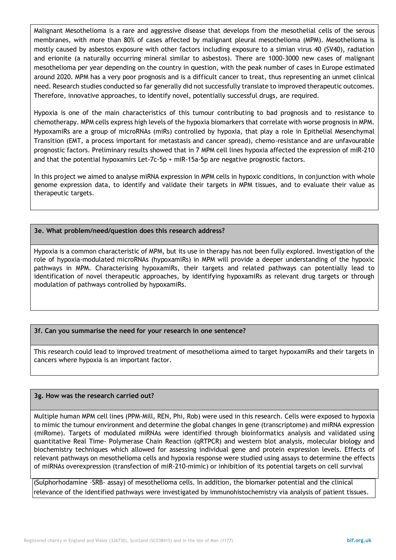Malignant Mesothelioma is a rare and aggressive disease that develops from the mesothelial cells of the serous membranes, with more than 80% of cases affected by malignant pleural mesothelioma (MPM). Mesothelioma is mostly caused by asbestos exposure with other factors including exposure to a simian virus 40 (SV40), radiation and erionite (a naturally occurring mineral similar to asbestos). There are 1000-3000 new cases of malignant mesothelioma per year depending on the country in question, with the peak number of cases in Europe estimated around 2020. MPM has a very poor prognosis and is a difficult cancer to treat, thus representing an unmet clinical need. Research studies conducted so far generally did not successfully translate to improved therapeutic outcomes. Therefore, innovative approaches, to identify novel, potentially successful drugs, are required.

Hypoxia is one of the main characteristics of this tumour contributing to bad prognosis and to resistance to chemotherapy. MPM cells express high levels of the hypoxia biomarkers that correlate with worse prognosis in MPM. HypoxamiRs are a group of microRNAs (miRs) controlled by hypoxia, that play a role in Epithelial Mesenchymal Transition (EMT, a process important for metastasis and cancer spread), chemo-resistance and are unfavourable prognostic factors. Preliminary results showed that in 7 MPM cell lines hypoxia affected the expression of miR-210 and that the potential hypoxamirs Let-7c-5p + miR-15a-5p are negative prognostic factors.

In this project we aimed to analyse miRNA expression in MPM cells in hypoxic conditions, in conjunction with whole genome expression data, to identify and validate their targets in MPM tissues, and to evaluate their value as therapeutic targets.

#### **3e. What problem/need/question does this research address?**

Hypoxia is a common characteristic of MPM, but its use in therapy has not been fully explored. Investigation of the role of hypoxia-modulated microRNAs (hypoxamiRs) in MPM will provide a deeper understanding of the hypoxic pathways in MPM. Characterising hypoxamiRs, their targets and related pathways can potentially lead to identification of novel therapeutic approaches, by identifying hypoxamiRs as relevant drug targets or through modulation of pathways controlled by hypoxamiRs.

#### **3f. Can you summarise the need for your research in one sentence?**

This research could lead to improved treatment of mesothelioma aimed to target hypoxamiRs and their targets in cancers where hypoxia is an important factor.

#### **3g. How was the research carried out?**

Multiple human MPM cell lines (PPM-Mill, REN, Phi, Rob) were used in this research. Cells were exposed to hypoxia to mimic the tumour environment and determine the global changes in gene (transcriptome) and miRNA expression (miRome). Targets of modulated miRNAs were identified through bioinformatics analysis and validated using quantitative Real Time- Polymerase Chain Reaction (qRTPCR) and western blot analysis, molecular biology and biochemistry techniques which allowed for assessing individual gene and protein expression levels. Effects of relevant pathways on mesothelioma cells and hypoxia response were studied using assays to determine the effects of miRNAs overexpression (transfection of miR-210-mimic) or inhibition of its potential targets on cell survival

(Sulphorhodamine –SRB- assay) of mesothelioma cells. In addition, the biomarker potential and the clinical relevance of the identified pathways were investigated by immunohistochemistry via analysis of patient tissues.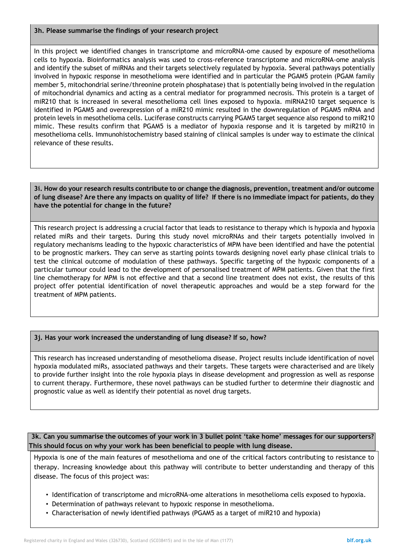#### **3h. Please summarise the findings of your research project**

In this project we identified changes in transcriptome and microRNA-ome caused by exposure of mesothelioma cells to hypoxia. Bioinformatics analysis was used to cross-reference transcriptome and microRNA-ome analysis and identify the subset of miRNAs and their targets selectively regulated by hypoxia. Several pathways potentially involved in hypoxic response in mesothelioma were identified and in particular the PGAM5 protein (PGAM family member 5, mitochondrial serine/threonine protein phosphatase) that is potentially being involved in the regulation of mitochondrial dynamics and acting as a central mediator for programmed necrosis. This protein is a target of miR210 that is increased in several mesothelioma cell lines exposed to hypoxia. miRNA210 target sequence is identified in PGAM5 and overexpression of a miR210 mimic resulted in the downregulation of PGAM5 mRNA and protein levels in mesothelioma cells. Luciferase constructs carrying PGAM5 target sequence also respond to miR210 mimic. These results confirm that PGAM5 is a mediator of hypoxia response and it is targeted by miR210 in mesothelioma cells. Immunohistochemistry based staining of clinical samples is under way to estimate the clinical relevance of these results.

#### **3i. How do your research results contribute to or change the diagnosis, prevention, treatment and/or outcome of lung disease? Are there any impacts on quality of life? If there is no immediate impact for patients, do they have the potential for change in the future?**

This research project is addressing a crucial factor that leads to resistance to therapy which is hypoxia and hypoxia related miRs and their targets. During this study novel microRNAs and their targets potentially involved in regulatory mechanisms leading to the hypoxic characteristics of MPM have been identified and have the potential to be prognostic markers. They can serve as starting points towards designing novel early phase clinical trials to test the clinical outcome of modulation of these pathways. Specific targeting of the hypoxic components of a particular tumour could lead to the development of personalised treatment of MPM patients. Given that the first line chemotherapy for MPM is not effective and that a second line treatment does not exist, the results of this project offer potential identification of novel therapeutic approaches and would be a step forward for the treatment of MPM patients.

#### **3j. Has your work increased the understanding of lung disease? If so, how?**

This research has increased understanding of mesothelioma disease. Project results include identification of novel hypoxia modulated miRs, associated pathways and their targets. These targets were characterised and are likely to provide further insight into the role hypoxia plays in disease development and progression as well as response to current therapy. Furthermore, these novel pathways can be studied further to determine their diagnostic and prognostic value as well as identify their potential as novel drug targets.

**3k. Can you summarise the outcomes of your work in 3 bullet point 'take home' messages for our supporters? This should focus on why your work has been beneficial to people with lung disease.** 

Hypoxia is one of the main features of mesothelioma and one of the critical factors contributing to resistance to therapy. Increasing knowledge about this pathway will contribute to better understanding and therapy of this disease. The focus of this project was:

- Identification of transcriptome and microRNA-ome alterations in mesothelioma cells exposed to hypoxia.
- Determination of pathways relevant to hypoxic response in mesothelioma.
- Characterisation of newly identified pathways (PGAM5 as a target of miR210 and hypoxia)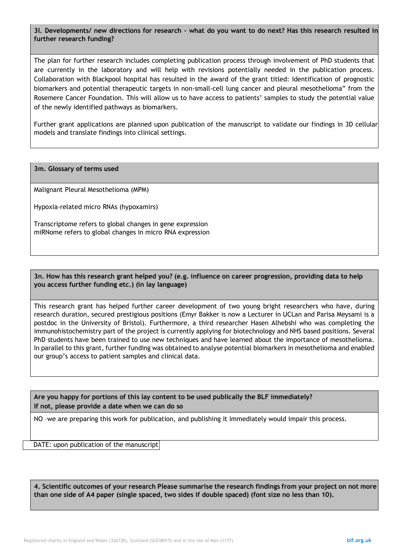#### **3l. Developments/ new directions for research – what do you want to do next? Has this research resulted in further research funding?**

The plan for further research includes completing publication process through involvement of PhD students that are currently in the laboratory and will help with revisions potentially needed in the publication process. Collaboration with Blackpool hospital has resulted in the award of the grant titled: Identification of prognostic biomarkers and potential therapeutic targets in non-small-cell lung cancer and pleural mesothelioma" from the Rosemere Cancer Foundation. This will allow us to have access to patients' samples to study the potential value of the newly identified pathways as biomarkers.

Further grant applications are planned upon publication of the manuscript to validate our findings in 3D cellular models and translate findings into clinical settings.

**3m. Glossary of terms used** 

Malignant Pleural Mesothelioma (MPM)

Hypoxia-related micro RNAs (hypoxamirs)

Transcriptome refers to global changes in gene expression miRNome refers to global changes in micro RNA expression

**3n. How has this research grant helped you? (e.g. influence on career progression, providing data to help you access further funding etc.) (in lay language)** 

This research grant has helped further career development of two young bright researchers who have, during research duration, secured prestigious positions (Emyr Bakker is now a Lecturer in UCLan and Parisa Meysami is a postdoc in the University of Bristol). Furthermore, a third researcher Hasen Alhebshi who was completing the immunohistochemistry part of the project is currently applying for biotechnology and NHS based positions. Several PhD students have been trained to use new techniques and have learned about the importance of mesothelioma. In parallel to this grant, further funding was obtained to analyse potential biomarkers in mesothelioma and enabled our group's access to patient samples and clinical data.

**Are you happy for portions of this lay content to be used publically the BLF immediately? If not, please provide a date when we can do so**

NO –we are preparing this work for publication, and publishing it immediately would impair this process.

DATE: upon publication of the manuscript

**4. Scientific outcomes of your research Please summarise the research findings from your project on not more than one side of A4 paper (single spaced, two sides if double spaced) (font size no less than 10).**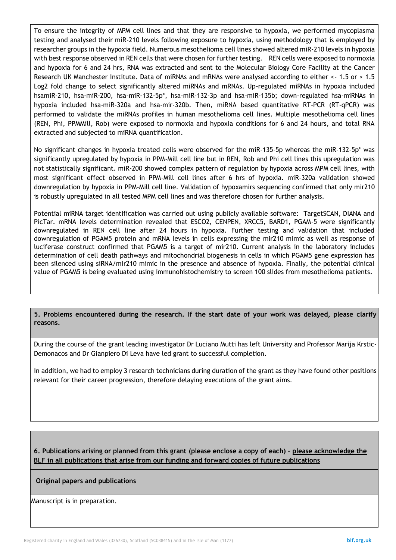To ensure the integrity of MPM cell lines and that they are responsive to hypoxia, we performed mycoplasma testing and analysed their miR-210 levels following exposure to hypoxia, using methodology that is employed by researcher groups in the hypoxia field. Numerous mesothelioma cell lines showed altered miR-210 levels in hypoxia with best response observed in REN cells that were chosen for further testing. REN cells were exposed to normoxia and hypoxia for 6 and 24 hrs, RNA was extracted and sent to the Molecular Biology Core Facility at the Cancer Research UK Manchester Institute. Data of miRNAs and mRNAs were analysed according to either <- 1.5 or > 1.5 Log2 fold change to select significantly altered miRNAs and mRNAs. Up-regulated miRNAs in hypoxia included hsamiR-210, hsa-miR-200, hsa-miR-132-5p\*, hsa-miR-132-3p and hsa-miR-135b; down-regulated hsa-miRNAs in hypoxia included hsa-miR-320a and hsa-mir-320b. Then, miRNA based quantitative RT-PCR (RT-qPCR) was performed to validate the miRNAs profiles in human mesothelioma cell lines. Multiple mesothelioma cell lines (REN, Phi, PPMMill, Rob) were exposed to normoxia and hypoxia conditions for 6 and 24 hours, and total RNA extracted and subjected to miRNA quantification.

No significant changes in hypoxia treated cells were observed for the miR-135-5p whereas the miR-132-5p\* was significantly upregulated by hypoxia in PPM-Mill cell line but in REN, Rob and Phi cell lines this upregulation was not statistically significant. miR-200 showed complex pattern of regulation by hypoxia across MPM cell lines, with most significant effect observed in PPM-Mill cell lines after 6 hrs of hypoxia. miR-320a validation showed downregulation by hypoxia in PPM-Mill cell line. Validation of hypoxamirs sequencing confirmed that only mir210 is robustly upregulated in all tested MPM cell lines and was therefore chosen for further analysis.

Potential miRNA target identification was carried out using publicly available software: TargetSCAN, DIANA and PicTar. mRNA levels determination revealed that ESCO2, CENPEN, XRCC5, BARD1, PGAM-5 were significantly downregulated in REN cell line after 24 hours in hypoxia. Further testing and validation that included downregulation of PGAM5 protein and mRNA levels in cells expressing the mir210 mimic as well as response of luciferase construct confirmed that PGAM5 is a target of mir210. Current analysis in the laboratory includes determination of cell death pathways and mitochondrial biogenesis in cells in which PGAM5 gene expression has been silenced using siRNA/mir210 mimic in the presence and absence of hypoxia. Finally, the potential clinical value of PGAM5 is being evaluated using immunohistochemistry to screen 100 slides from mesothelioma patients.

**5. Problems encountered during the research. If the start date of your work was delayed, please clarify reasons.** 

During the course of the grant leading investigator Dr Luciano Mutti has left University and Professor Marija Krstic-Demonacos and Dr Gianpiero Di Leva have led grant to successful completion.

In addition, we had to employ 3 research technicians during duration of the grant as they have found other positions relevant for their career progression, therefore delaying executions of the grant aims.

**6. Publications arising or planned from this grant (please enclose a copy of each) – please acknowledge the BLF in all publications that arise from our funding and forward copies of future publications**

#### **Original papers and publications**

Manuscript is in preparation.